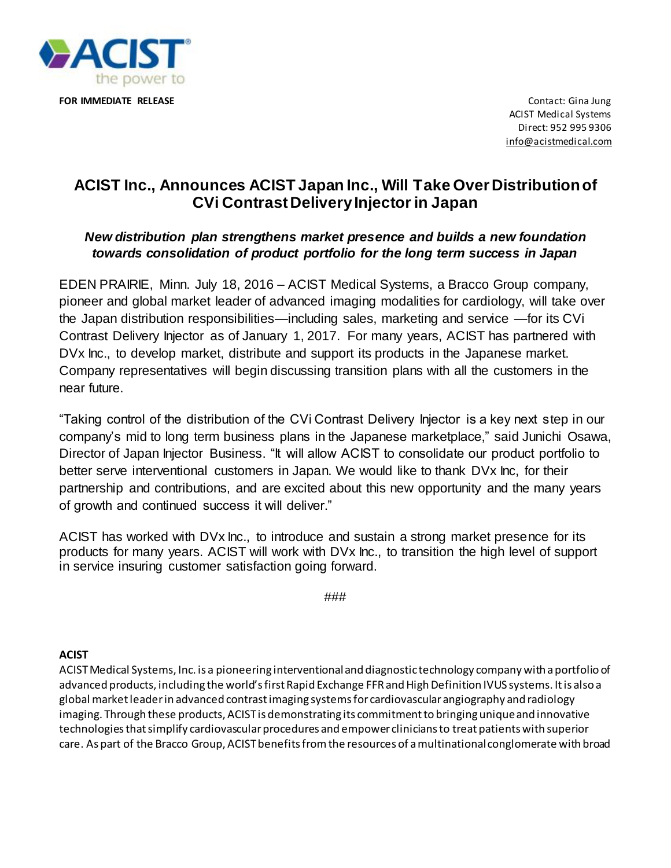

ACIST Medical Systems Direct: 952 995 9306 [info@acistmedical.com](mailto:info@acistmedical.com)

## **ACIST Inc., Announces ACIST Japan Inc., Will Take Over Distribution of CVi Contrast Delivery Injector in Japan**

## *New distribution plan strengthens market presence and builds a new foundation towards consolidation of product portfolio for the long term success in Japan*

EDEN PRAIRIE, Minn. July 18, 2016 – ACIST Medical Systems, a Bracco Group company, pioneer and global market leader of advanced imaging modalities for cardiology, will take over the Japan distribution responsibilities—including sales, marketing and service —for its CVi Contrast Delivery Injector as of January 1, 2017. For many years, ACIST has partnered with DVx Inc., to develop market, distribute and support its products in the Japanese market. Company representatives will begin discussing transition plans with all the customers in the near future.

"Taking control of the distribution of the CVi Contrast Delivery Injector is a key next step in our company's mid to long term business plans in the Japanese marketplace," said Junichi Osawa, Director of Japan Injector Business. "It will allow ACIST to consolidate our product portfolio to better serve interventional customers in Japan. We would like to thank DVx Inc, for their partnership and contributions, and are excited about this new opportunity and the many years of growth and continued success it will deliver."

ACIST has worked with DVx Inc., to introduce and sustain a strong market presence for its products for many years. ACIST will work with DVx Inc., to transition the high level of support in service insuring customer satisfaction going forward.

###

## **ACIST**

ACIST Medical Systems, Inc. is a pioneering interventional and diagnostic technology company with a portfolio of advanced products, including the world's first Rapid Exchange FFR and High Definition IVUS systems. It is also a global market leader in advanced contrast imaging systems for cardiovascular angiography and radiology imaging. Through these products, ACIST is demonstrating its commitment to bringing unique and innovative technologies that simplify cardiovascular procedures and empower clinicians to treat patients with superior care. As part of the Bracco Group, ACIST benefits from the resources of a multinational conglomerate with broad